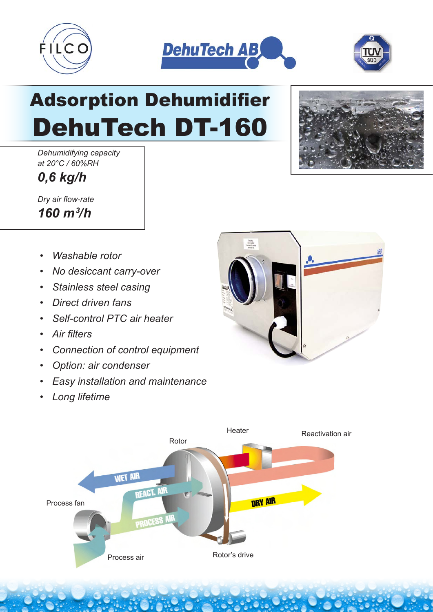





## Adsorption Dehumidifier DehuTech DT-160

*Dehumidifying capacity at 20°C / 60%RH*

*0,6 kg/h*

*Dry air flow-rate 160 m3 /h*

- *Washable rotor*
- *No desiccant carry-over*
- *Stainless steel casing*
- *Direct driven fans*
- *Self-control PTC air heater*
- *Air filters*
- *Connection of control equipment*
- *Option: air condenser*
- *Easy installation and maintenance*
- *Long lifetime*